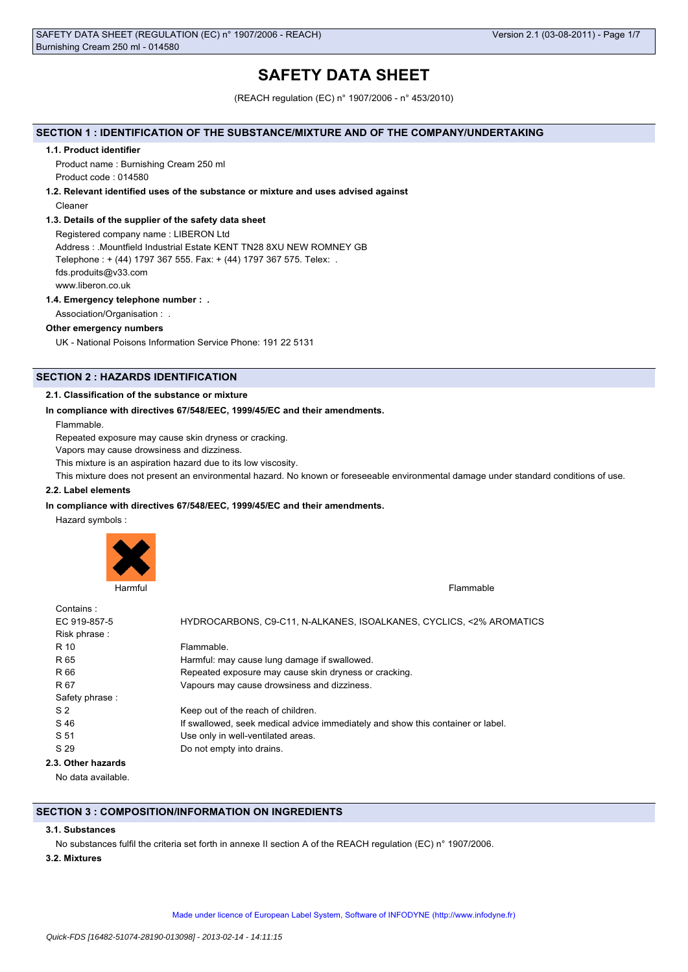# **SAFETY DATA SHEET**

(REACH regulation (EC) n° 1907/2006 - n° 453/2010)

### **SECTION 1 : IDENTIFICATION OF THE SUBSTANCE/MIXTURE AND OF THE COMPANY/UNDERTAKING**

#### **1.1. Product identifier**

Product name : Burnishing Cream 250 ml Product code : 014580

#### **1.2. Relevant identified uses of the substance or mixture and uses advised against**

Cleaner

### **1.3. Details of the supplier of the safety data sheet**

Registered company name : LIBERON Ltd Address : .Mountfield Industrial Estate KENT TN28 8XU NEW ROMNEY GB Telephone : + (44) 1797 367 555. Fax: + (44) 1797 367 575. Telex: . fds.produits@v33.com www.liberon.co.uk

### **1.4. Emergency telephone number : .**

Association/Organisation : .

### **Other emergency numbers**

UK - National Poisons Information Service Phone: 191 22 5131

# **SECTION 2 : HAZARDS IDENTIFICATION**

### **2.1. Classification of the substance or mixture**

#### **In compliance with directives 67/548/EEC, 1999/45/EC and their amendments.**

Flammable.

Repeated exposure may cause skin dryness or cracking.

Vapors may cause drowsiness and dizziness.

This mixture is an aspiration hazard due to its low viscosity.

This mixture does not present an environmental hazard. No known or foreseeable environmental damage under standard conditions of use.

# **2.2. Label elements**

### **In compliance with directives 67/548/EEC, 1999/45/EC and their amendments.**

Hazard symbols :



| Contains:          |                                                                                 |
|--------------------|---------------------------------------------------------------------------------|
| EC 919-857-5       | HYDROCARBONS, C9-C11, N-ALKANES, ISOALKANES, CYCLICS, <2% AROMATICS             |
| Risk phrase:       |                                                                                 |
| R 10               | Flammable.                                                                      |
| R 65               | Harmful: may cause lung damage if swallowed.                                    |
| R 66               | Repeated exposure may cause skin dryness or cracking.                           |
| R 67               | Vapours may cause drowsiness and dizziness.                                     |
| Safety phrase:     |                                                                                 |
| S <sub>2</sub>     | Keep out of the reach of children.                                              |
| S 46               | If swallowed, seek medical advice immediately and show this container or label. |
| S 51               | Use only in well-ventilated areas.                                              |
| S 29               | Do not empty into drains.                                                       |
| 2.3. Other hazards |                                                                                 |

No data available.

# **SECTION 3 : COMPOSITION/INFORMATION ON INGREDIENTS**

### **3.1. Substances**

No substances fulfil the criteria set forth in annexe II section A of the REACH regulation (EC) n° 1907/2006.

### **3.2. Mixtures**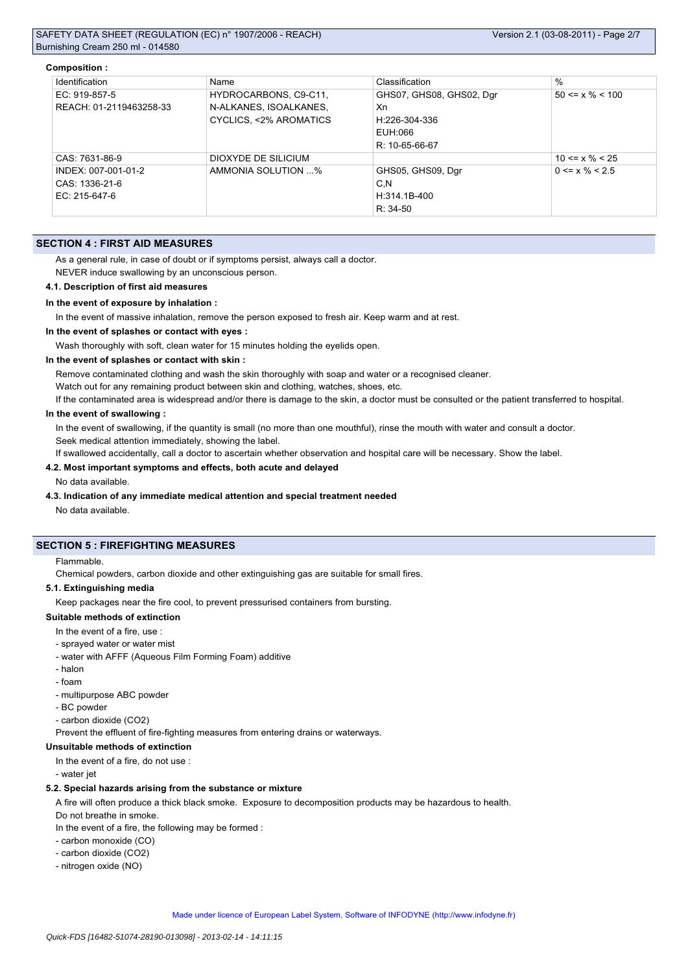#### **Composition :**

| Identification          | Name                   | Classification           | %                     |
|-------------------------|------------------------|--------------------------|-----------------------|
| EC: 919-857-5           | HYDROCARBONS, C9-C11,  | GHS07, GHS08, GHS02, Dgr | $50 \le x \% \le 100$ |
| REACH: 01-2119463258-33 | N-ALKANES, ISOALKANES, | Xn                       |                       |
|                         | CYCLICS, <2% AROMATICS | H:226-304-336            |                       |
|                         |                        | EUH:066                  |                       |
|                         |                        | R: 10-65-66-67           |                       |
| CAS: 7631-86-9          | DIOXYDE DE SILICIUM    |                          | $10 \le x \% \le 25$  |
| INDEX: 007-001-01-2     | AMMONIA SOLUTION %     | GHS05, GHS09, Dgr        | $0 \le x \% \le 2.5$  |
| CAS: 1336-21-6          |                        | C,N                      |                       |
| EC: 215-647-6           |                        | H:314.1B-400             |                       |
|                         |                        | $R: 34-50$               |                       |

### **SECTION 4 : FIRST AID MEASURES**

As a general rule, in case of doubt or if symptoms persist, always call a doctor.

NEVER induce swallowing by an unconscious person.

#### **4.1. Description of first aid measures**

#### **In the event of exposure by inhalation :**

In the event of massive inhalation, remove the person exposed to fresh air. Keep warm and at rest.

#### **In the event of splashes or contact with eyes :**

Wash thoroughly with soft, clean water for 15 minutes holding the eyelids open.

#### **In the event of splashes or contact with skin :**

Remove contaminated clothing and wash the skin thoroughly with soap and water or a recognised cleaner.

Watch out for any remaining product between skin and clothing, watches, shoes, etc.

If the contaminated area is widespread and/or there is damage to the skin, a doctor must be consulted or the patient transferred to hospital.

### **In the event of swallowing :**

In the event of swallowing, if the quantity is small (no more than one mouthful), rinse the mouth with water and consult a doctor. Seek medical attention immediately, showing the label.

If swallowed accidentally, call a doctor to ascertain whether observation and hospital care will be necessary. Show the label.

# **4.2. Most important symptoms and effects, both acute and delayed**

#### No data available.

# **4.3. Indication of any immediate medical attention and special treatment needed**

No data available.

# **SECTION 5 : FIREFIGHTING MEASURES**

Flammable.

Chemical powders, carbon dioxide and other extinguishing gas are suitable for small fires.

#### **5.1. Extinguishing media**

Keep packages near the fire cool, to prevent pressurised containers from bursting.

#### **Suitable methods of extinction**

- In the event of a fire, use :
- sprayed water or water mist
- water with AFFF (Aqueous Film Forming Foam) additive
- halon
- foam
- multipurpose ABC powder
- BC powder
- carbon dioxide (CO2)

Prevent the effluent of fire-fighting measures from entering drains or waterways.

### **Unsuitable methods of extinction**

In the event of a fire, do not use :

- water jet

### **5.2. Special hazards arising from the substance or mixture**

A fire will often produce a thick black smoke. Exposure to decomposition products may be hazardous to health.

Do not breathe in smoke.

In the event of a fire, the following may be formed :

- carbon monoxide (CO)
- carbon dioxide (CO2)
- nitrogen oxide (NO)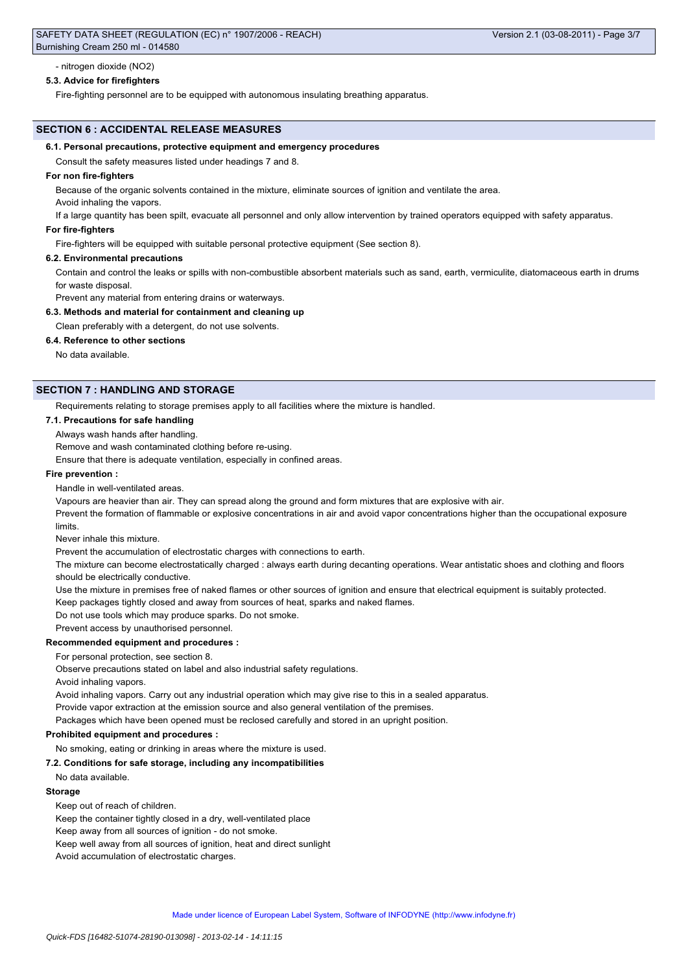### - nitrogen dioxide (NO2)

#### **5.3. Advice for firefighters**

Fire-fighting personnel are to be equipped with autonomous insulating breathing apparatus.

#### **SECTION 6 : ACCIDENTAL RELEASE MEASURES**

#### **6.1. Personal precautions, protective equipment and emergency procedures**

Consult the safety measures listed under headings 7 and 8.

#### **For non fire-fighters**

Because of the organic solvents contained in the mixture, eliminate sources of ignition and ventilate the area.

Avoid inhaling the vapors.

If a large quantity has been spilt, evacuate all personnel and only allow intervention by trained operators equipped with safety apparatus.

#### **For fire-fighters**

Fire-fighters will be equipped with suitable personal protective equipment (See section 8).

#### **6.2. Environmental precautions**

Contain and control the leaks or spills with non-combustible absorbent materials such as sand, earth, vermiculite, diatomaceous earth in drums for waste disposal.

Prevent any material from entering drains or waterways.

#### **6.3. Methods and material for containment and cleaning up**

Clean preferably with a detergent, do not use solvents.

**6.4. Reference to other sections**

No data available.

# **SECTION 7 : HANDLING AND STORAGE**

Requirements relating to storage premises apply to all facilities where the mixture is handled.

### **7.1. Precautions for safe handling**

Always wash hands after handling.

Remove and wash contaminated clothing before re-using.

Ensure that there is adequate ventilation, especially in confined areas.

### **Fire prevention :**

Handle in well-ventilated areas.

Vapours are heavier than air. They can spread along the ground and form mixtures that are explosive with air.

Prevent the formation of flammable or explosive concentrations in air and avoid vapor concentrations higher than the occupational exposure limits.

Never inhale this mixture.

Prevent the accumulation of electrostatic charges with connections to earth.

The mixture can become electrostatically charged : always earth during decanting operations. Wear antistatic shoes and clothing and floors should be electrically conductive.

Use the mixture in premises free of naked flames or other sources of ignition and ensure that electrical equipment is suitably protected.

Keep packages tightly closed and away from sources of heat, sparks and naked flames.

Do not use tools which may produce sparks. Do not smoke.

# Prevent access by unauthorised personnel.

**Recommended equipment and procedures :**

For personal protection, see section 8.

Observe precautions stated on label and also industrial safety regulations.

Avoid inhaling vapors.

Avoid inhaling vapors. Carry out any industrial operation which may give rise to this in a sealed apparatus.

Provide vapor extraction at the emission source and also general ventilation of the premises.

Packages which have been opened must be reclosed carefully and stored in an upright position.

#### **Prohibited equipment and procedures :**

### No smoking, eating or drinking in areas where the mixture is used.

**7.2. Conditions for safe storage, including any incompatibilities**

No data available.

### **Storage**

Keep out of reach of children.

Keep the container tightly closed in a dry, well-ventilated place

Keep away from all sources of ignition - do not smoke.

Keep well away from all sources of ignition, heat and direct sunlight

Avoid accumulation of electrostatic charges.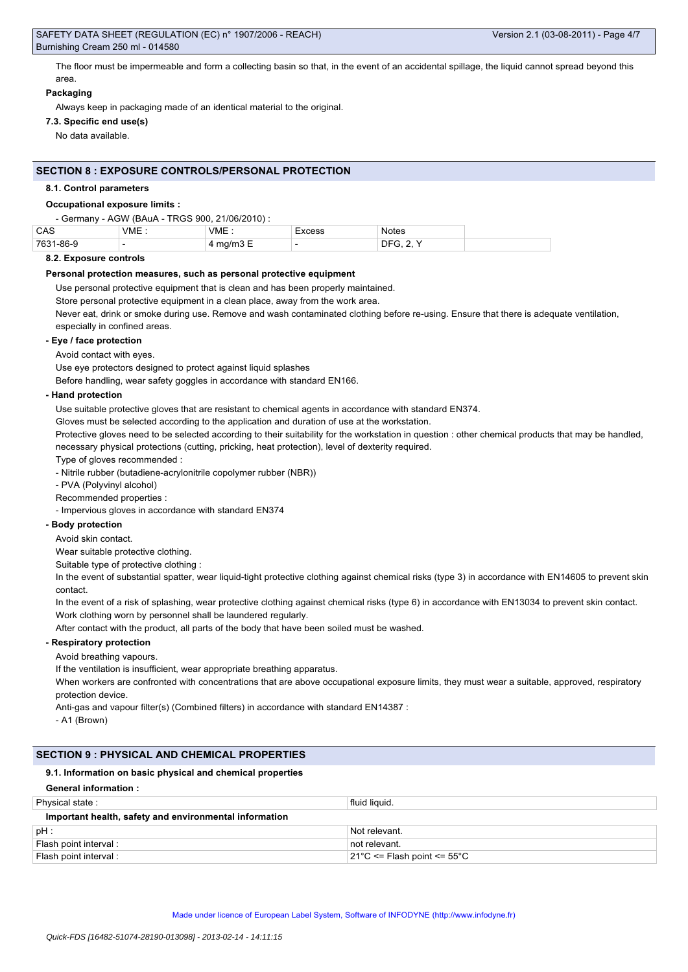The floor must be impermeable and form a collecting basin so that, in the event of an accidental spillage, the liquid cannot spread beyond this area.

### **Packaging**

Always keep in packaging made of an identical material to the original.

# **7.3. Specific end use(s)**

No data available.

### **SECTION 8 : EXPOSURE CONTROLS/PERSONAL PROTECTION**

#### **8.1. Control parameters**

# **Occupational exposure limits :**

| - Germany - AGW (BAuA - TRGS 900, 21/06/2010) : |      |                      |        |                  |
|-------------------------------------------------|------|----------------------|--------|------------------|
| CAS                                             | VME. | VME:                 | Excess | <b>Notes</b>     |
| 7631-86-9                                       |      | 4 mg/m $3 \text{ E}$ |        | <b>DFG. 2. Y</b> |

#### **8.2. Exposure controls**

#### **Personal protection measures, such as personal protective equipment**

Use personal protective equipment that is clean and has been properly maintained.

Store personal protective equipment in a clean place, away from the work area.

Never eat, drink or smoke during use. Remove and wash contaminated clothing before re-using. Ensure that there is adequate ventilation, especially in confined areas.

### **- Eye / face protection**

Avoid contact with eyes.

Use eye protectors designed to protect against liquid splashes

Before handling, wear safety goggles in accordance with standard EN166.

#### **- Hand protection**

Use suitable protective gloves that are resistant to chemical agents in accordance with standard EN374.

Gloves must be selected according to the application and duration of use at the workstation.

Protective gloves need to be selected according to their suitability for the workstation in question : other chemical products that may be handled, necessary physical protections (cutting, pricking, heat protection), level of dexterity required.

Type of gloves recommended :

- Nitrile rubber (butadiene-acrylonitrile copolymer rubber (NBR))

- PVA (Polyvinyl alcohol)

Recommended properties :

- Impervious gloves in accordance with standard EN374

# **- Body protection**

Avoid skin contact.

Wear suitable protective clothing.

Suitable type of protective clothing :

In the event of substantial spatter, wear liquid-tight protective clothing against chemical risks (type 3) in accordance with EN14605 to prevent skin contact.

In the event of a risk of splashing, wear protective clothing against chemical risks (type 6) in accordance with EN13034 to prevent skin contact.

Work clothing worn by personnel shall be laundered regularly.

After contact with the product, all parts of the body that have been soiled must be washed.

### **- Respiratory protection**

Avoid breathing vapours.

If the ventilation is insufficient, wear appropriate breathing apparatus.

When workers are confronted with concentrations that are above occupational exposure limits, they must wear a suitable, approved, respiratory protection device.

Anti-gas and vapour filter(s) (Combined filters) in accordance with standard EN14387 :

- A1 (Brown)

### **SECTION 9 : PHYSICAL AND CHEMICAL PROPERTIES**

### **9.1. Information on basic physical and chemical properties**

| <b>General information:</b>                            |                                                  |  |  |  |
|--------------------------------------------------------|--------------------------------------------------|--|--|--|
| Physical state:                                        | fluid liguid.                                    |  |  |  |
| Important health, safety and environmental information |                                                  |  |  |  |
| $pH$ :                                                 | Not relevant.                                    |  |  |  |
| Flash point interval :                                 | not relevant.                                    |  |  |  |
| Flash point interval :                                 | $21^{\circ}$ C <= Flash point <= 55 $^{\circ}$ C |  |  |  |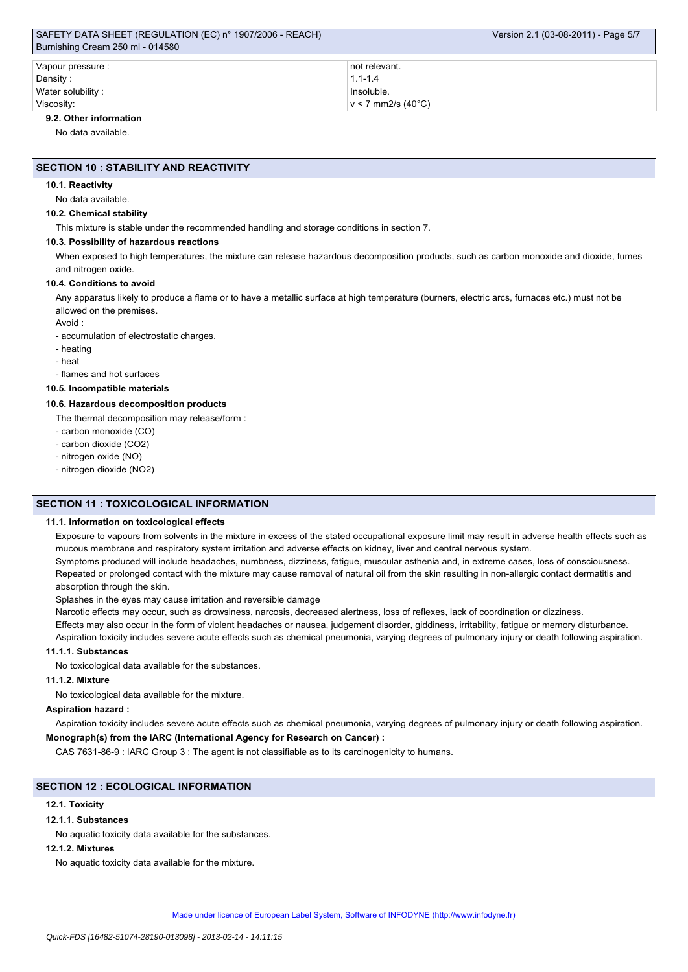### SAFETY DATA SHEET (REGULATION (EC) n° 1907/2006 - REACH) Burnishing Cream 250 ml - 014580

| Vapour pressure : | ⊥not relevant.       |  |  |  |
|-------------------|----------------------|--|--|--|
| Density:          | $1.1 - 1.4$          |  |  |  |
| Water solubility: | Insoluble.           |  |  |  |
| Viscosity:        | $v < 7$ mm2/s (40°C) |  |  |  |

# **9.2. Other information**

No data available.

### **SECTION 10 : STABILITY AND REACTIVITY**

#### **10.1. Reactivity**

No data available.

### **10.2. Chemical stability**

This mixture is stable under the recommended handling and storage conditions in section 7.

#### **10.3. Possibility of hazardous reactions**

When exposed to high temperatures, the mixture can release hazardous decomposition products, such as carbon monoxide and dioxide, fumes and nitrogen oxide.

### **10.4. Conditions to avoid**

Any apparatus likely to produce a flame or to have a metallic surface at high temperature (burners, electric arcs, furnaces etc.) must not be allowed on the premises.

Avoid :

- accumulation of electrostatic charges.

- heating

- heat

- flames and hot surfaces

# **10.5. Incompatible materials**

### **10.6. Hazardous decomposition products**

The thermal decomposition may release/form :

- carbon monoxide (CO)

- carbon dioxide (CO2)

- nitrogen oxide (NO)
- nitrogen dioxide (NO2)

# **SECTION 11 : TOXICOLOGICAL INFORMATION**

### **11.1. Information on toxicological effects**

Exposure to vapours from solvents in the mixture in excess of the stated occupational exposure limit may result in adverse health effects such as mucous membrane and respiratory system irritation and adverse effects on kidney, liver and central nervous system.

Symptoms produced will include headaches, numbness, dizziness, fatigue, muscular asthenia and, in extreme cases, loss of consciousness. Repeated or prolonged contact with the mixture may cause removal of natural oil from the skin resulting in non-allergic contact dermatitis and absorption through the skin.

Splashes in the eyes may cause irritation and reversible damage

Narcotic effects may occur, such as drowsiness, narcosis, decreased alertness, loss of reflexes, lack of coordination or dizziness.

Effects may also occur in the form of violent headaches or nausea, judgement disorder, giddiness, irritability, fatigue or memory disturbance. Aspiration toxicity includes severe acute effects such as chemical pneumonia, varying degrees of pulmonary injury or death following aspiration.

# **11.1.1. Substances**

No toxicological data available for the substances.

### **11.1.2. Mixture**

No toxicological data available for the mixture.

#### **Aspiration hazard :**

Aspiration toxicity includes severe acute effects such as chemical pneumonia, varying degrees of pulmonary injury or death following aspiration.

# **Monograph(s) from the IARC (International Agency for Research on Cancer) :**

CAS 7631-86-9 : IARC Group 3 : The agent is not classifiable as to its carcinogenicity to humans.

### **SECTION 12 : ECOLOGICAL INFORMATION**

### **12.1. Toxicity**

### **12.1.1. Substances**

No aquatic toxicity data available for the substances.

#### **12.1.2. Mixtures**

No aquatic toxicity data available for the mixture.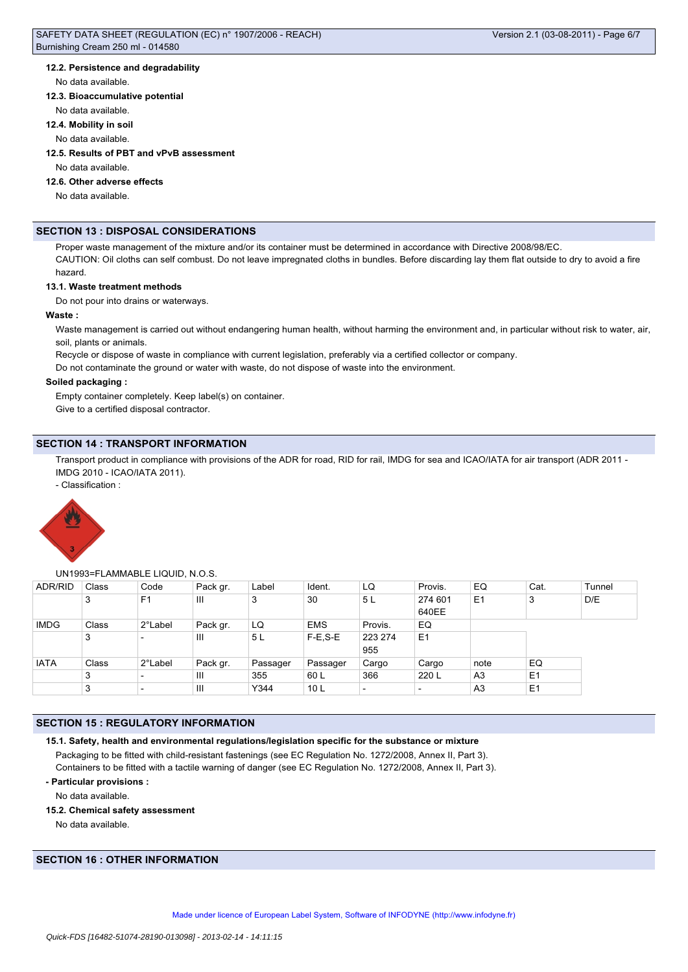### **12.2. Persistence and degradability**

#### No data available.

#### **12.3. Bioaccumulative potential**

No data available.

#### **12.4. Mobility in soil**

No data available.

# **12.5. Results of PBT and vPvB assessment**

No data available.

# **12.6. Other adverse effects**

No data available.

### **SECTION 13 : DISPOSAL CONSIDERATIONS**

Proper waste management of the mixture and/or its container must be determined in accordance with Directive 2008/98/EC. CAUTION: Oil cloths can self combust. Do not leave impregnated cloths in bundles. Before discarding lay them flat outside to dry to avoid a fire

# hazard.

### **13.1. Waste treatment methods**

Do not pour into drains or waterways.

### **Waste :**

Waste management is carried out without endangering human health, without harming the environment and, in particular without risk to water, air, soil, plants or animals.

Recycle or dispose of waste in compliance with current legislation, preferably via a certified collector or company.

Do not contaminate the ground or water with waste, do not dispose of waste into the environment.

#### **Soiled packaging :**

Empty container completely. Keep label(s) on container. Give to a certified disposal contractor.

### **SECTION 14 : TRANSPORT INFORMATION**

Transport product in compliance with provisions of the ADR for road, RID for rail, IMDG for sea and ICAO/IATA for air transport (ADR 2011 -IMDG 2010 - ICAO/IATA 2011).

- Classification :



#### UN1993=FLAMMABLE LIQUID, N.O.S.

| <b>ADR/RID</b> | Class | Code                     | Pack gr. | Label          | Ident.          | LQ                       | Provis.                  | EQ             | Cat.           | Tunnel |
|----------------|-------|--------------------------|----------|----------------|-----------------|--------------------------|--------------------------|----------------|----------------|--------|
|                | 3     | F <sub>1</sub>           | Ш        | 3              | 30              | 5L                       | 274 601<br>640EE         | E <sub>1</sub> | 3              | D/E    |
| <b>IMDG</b>    | Class | 2°Label                  | Pack gr. | LQ             | <b>EMS</b>      | Provis.                  | EQ                       |                |                |        |
|                | 3     | $\overline{\phantom{a}}$ | Ш        | 5 <sub>L</sub> | $F-E$ , $S-E$   | 223 274<br>955           | E <sub>1</sub>           |                |                |        |
| <b>IATA</b>    | Class | 2°Label                  | Pack gr. | Passager       | <b>Passager</b> | Cargo                    | Cargo                    | note           | EQ             |        |
|                | 3     | $\overline{\phantom{a}}$ | Ш        | 355            | 60 L            | 366                      | 220 L                    | A <sub>3</sub> | E <sub>1</sub> |        |
|                | 3     | $\overline{\phantom{a}}$ | Ш        | Y344           | 10 <sub>L</sub> | $\overline{\phantom{a}}$ | $\overline{\phantom{0}}$ | A <sub>3</sub> | E <sub>1</sub> |        |

### **SECTION 15 : REGULATORY INFORMATION**

```
15.1. Safety, health and environmental regulations/legislation specific for the substance or mixture
```
Packaging to be fitted with child-resistant fastenings (see EC Regulation No. 1272/2008, Annex II, Part 3). Containers to be fitted with a tactile warning of danger (see EC Regulation No. 1272/2008, Annex II, Part 3).

### **- Particular provisions :**

No data available.

#### **15.2. Chemical safety assessment**

No data available.

# **SECTION 16 : OTHER INFORMATION**